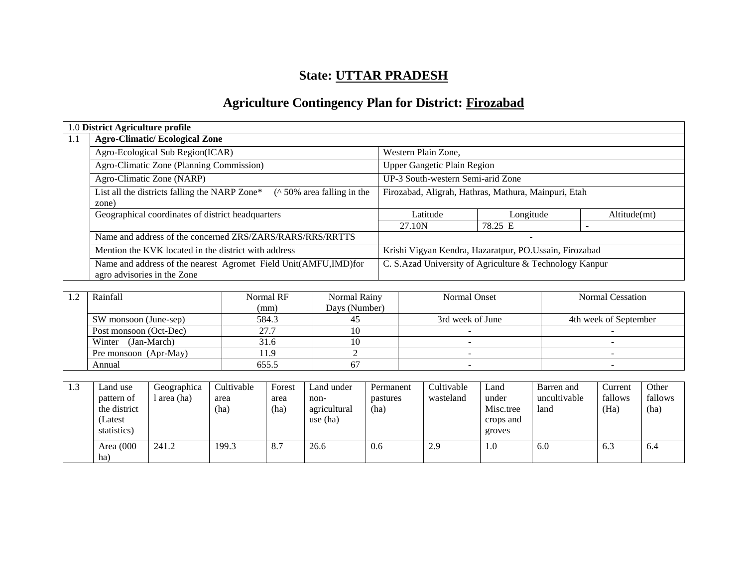# **State: UTTAR PRADESH**

# **Agriculture Contingency Plan for District: Firozabad**

|     | 1.0 District Agriculture profile                                                               |                                                        |                                                         |              |  |  |
|-----|------------------------------------------------------------------------------------------------|--------------------------------------------------------|---------------------------------------------------------|--------------|--|--|
| 1.1 | <b>Agro-Climatic/Ecological Zone</b>                                                           |                                                        |                                                         |              |  |  |
|     | Agro-Ecological Sub Region(ICAR)                                                               | Western Plain Zone,                                    |                                                         |              |  |  |
|     | Agro-Climatic Zone (Planning Commission)<br><b>Upper Gangetic Plain Region</b>                 |                                                        |                                                         |              |  |  |
|     | Agro-Climatic Zone (NARP)                                                                      | UP-3 South-western Semi-arid Zone                      |                                                         |              |  |  |
|     | List all the districts falling the NARP Zone*<br>$($ \landom 50% area falling in the<br>zone)  | Firozabad, Aligrah, Hathras, Mathura, Mainpuri, Etah   |                                                         |              |  |  |
|     | Geographical coordinates of district headquarters                                              | Latitude                                               | Longitude                                               | Altitude(mt) |  |  |
|     |                                                                                                | 27.10N                                                 | 78.25 E                                                 |              |  |  |
|     | Name and address of the concerned ZRS/ZARS/RARS/RRS/RRTTS                                      |                                                        | $\overline{\phantom{a}}$                                |              |  |  |
|     | Mention the KVK located in the district with address                                           | Krishi Vigyan Kendra, Hazaratpur, PO.Ussain, Firozabad |                                                         |              |  |  |
|     | Name and address of the nearest Agromet Field Unit(AMFU,IMD)for<br>agro advisories in the Zone |                                                        | C. S.Azad University of Agriculture & Technology Kanpur |              |  |  |

| Rainfall               | Normal RF | Normal Rainy  | Normal Onset     | Normal Cessation      |
|------------------------|-----------|---------------|------------------|-----------------------|
|                        | (mm)      | Days (Number) |                  |                       |
| SW monsoon (June-sep)  | 584.3     |               | 3rd week of June | 4th week of September |
| Post monsoon (Oct-Dec) | 27.7      |               |                  |                       |
| Winter (Jan-March)     | 31.6      |               |                  |                       |
| Pre monsoon (Apr-May)  | 11.9      |               |                  |                       |
| Annual                 | 655.5     |               |                  |                       |

| 1.3 | Land use                   | Geographica | Cultivable   | Forest       | Land under           | Permanent        | Cultivable | Land                | Barren and           | Current         | Other           |
|-----|----------------------------|-------------|--------------|--------------|----------------------|------------------|------------|---------------------|----------------------|-----------------|-----------------|
|     | pattern of<br>the district | l area (ha) | area<br>(ha) | area<br>(ha) | non-<br>agricultural | pastures<br>(ha) | wasteland  | under<br>Misc.tree  | uncultivable<br>land | fallows<br>(Ha) | fallows<br>(ha) |
|     | Latest<br>statistics)      |             |              |              | use (ha)             |                  |            | crops and<br>groves |                      |                 |                 |
|     | Area (000<br>ha)           | 241.2       | 199.3        | 8.7          | 26.6                 | 0.6              | 2.9        | 1.0                 | 6.0                  | 6.3             | 6.4             |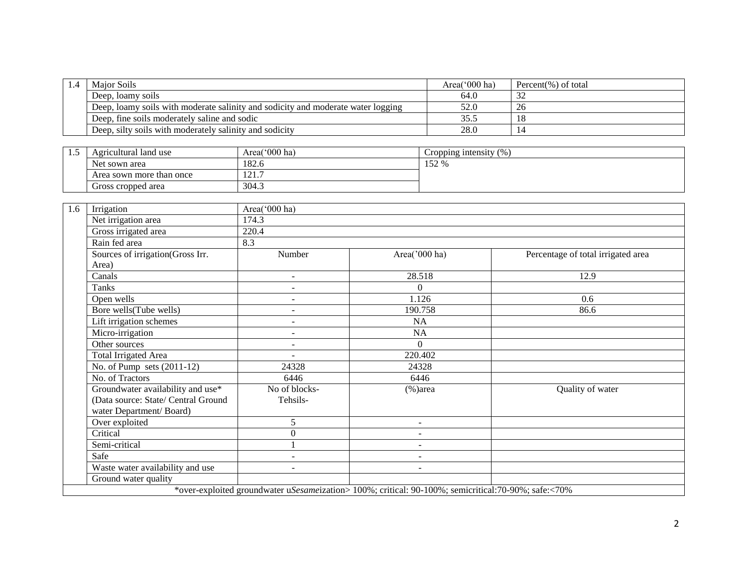| 1.4 | Maior Soils                                                                      | Area $(000$ ha) | Percent(%) of total |
|-----|----------------------------------------------------------------------------------|-----------------|---------------------|
|     | Deep, loamy soils                                                                | 64.0            |                     |
|     | Deep, loamy soils with moderate salinity and sodicity and moderate water logging | 52.0            | 26                  |
|     | Deep, fine soils moderately saline and sodic                                     |                 |                     |
|     | Deep, silty soils with moderately salinity and sodicity                          | 28.0            |                     |

| ن . 1 | Agricultural land use    | Area('000 ha)      | Cropping intensity $(\%)$ |
|-------|--------------------------|--------------------|---------------------------|
|       | Net sown area            | 182.6              | 152<br>0/<br>132,70       |
|       | Area sown more than once | $\sqrt{1}$<br>1/4. |                           |
|       | Gross cropped area       | 304.3              |                           |

| 1.6 | Irrigation                          | Area('000 ha)            |                                                                                                     |                                    |  |  |  |  |  |
|-----|-------------------------------------|--------------------------|-----------------------------------------------------------------------------------------------------|------------------------------------|--|--|--|--|--|
|     | Net irrigation area                 | 174.3                    |                                                                                                     |                                    |  |  |  |  |  |
|     | Gross irrigated area                | 220.4                    |                                                                                                     |                                    |  |  |  |  |  |
|     | Rain fed area                       | 8.3                      |                                                                                                     |                                    |  |  |  |  |  |
|     | Sources of irrigation(Gross Irr.    | Number                   | Area('000 ha)                                                                                       | Percentage of total irrigated area |  |  |  |  |  |
|     | Area)                               |                          |                                                                                                     |                                    |  |  |  |  |  |
|     | Canals                              | $\sim$                   | 28.518                                                                                              | 12.9                               |  |  |  |  |  |
|     | Tanks                               | $\overline{\phantom{a}}$ | $\Omega$                                                                                            |                                    |  |  |  |  |  |
|     | Open wells                          | $\overline{\phantom{a}}$ | 1.126                                                                                               | 0.6                                |  |  |  |  |  |
|     | Bore wells(Tube wells)              | $\overline{\phantom{a}}$ | 190.758                                                                                             | 86.6                               |  |  |  |  |  |
|     | Lift irrigation schemes             | $\overline{\phantom{a}}$ | NA                                                                                                  |                                    |  |  |  |  |  |
|     | Micro-irrigation                    | $\overline{\phantom{a}}$ | NA                                                                                                  |                                    |  |  |  |  |  |
|     | Other sources                       | $\sim$                   | $\Omega$                                                                                            |                                    |  |  |  |  |  |
|     | <b>Total Irrigated Area</b>         |                          | 220.402                                                                                             |                                    |  |  |  |  |  |
|     | No. of Pump sets $(2011-12)$        | 24328                    | 24328                                                                                               |                                    |  |  |  |  |  |
|     | No. of Tractors                     | 6446                     | 6446                                                                                                |                                    |  |  |  |  |  |
|     | Groundwater availability and use*   | No of blocks-            | $%$ )area                                                                                           | Quality of water                   |  |  |  |  |  |
|     | (Data source: State/ Central Ground | Tehsils-                 |                                                                                                     |                                    |  |  |  |  |  |
|     | water Department/Board)             |                          |                                                                                                     |                                    |  |  |  |  |  |
|     | Over exploited                      | 5                        | $\sim$                                                                                              |                                    |  |  |  |  |  |
|     | Critical                            | $\boldsymbol{0}$         | $\sim$                                                                                              |                                    |  |  |  |  |  |
|     | Semi-critical                       |                          | $\sim$                                                                                              |                                    |  |  |  |  |  |
|     | Safe                                |                          | $\overline{\phantom{a}}$                                                                            |                                    |  |  |  |  |  |
|     | Waste water availability and use    |                          | $\overline{a}$                                                                                      |                                    |  |  |  |  |  |
|     | Ground water quality                |                          |                                                                                                     |                                    |  |  |  |  |  |
|     |                                     |                          | *over-exploited groundwater uSesameization> 100%; critical: 90-100%; semicritical:70-90%; safe:<70% |                                    |  |  |  |  |  |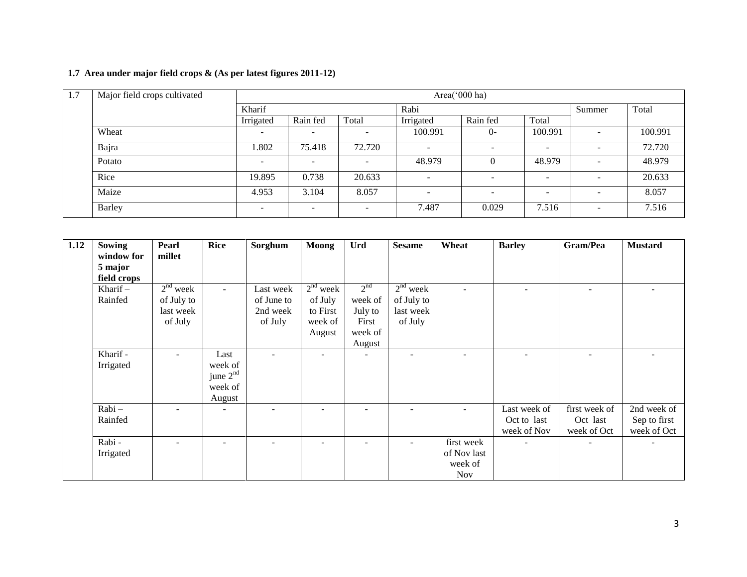# **1.7 Area under major field crops & (As per latest figures 2011-12)**

| 1.7 | Major field crops cultivated | Area('000 ha)            |                          |                          |                          |                          |                          |                          |         |
|-----|------------------------------|--------------------------|--------------------------|--------------------------|--------------------------|--------------------------|--------------------------|--------------------------|---------|
|     |                              | Kharif                   |                          |                          | Rabi                     |                          |                          | Summer                   | Total   |
|     |                              | Irrigated                | Rain fed                 | Total                    | Irrigated                | Rain fed                 | Total                    |                          |         |
|     | Wheat                        | $\overline{\phantom{a}}$ | $\overline{\phantom{a}}$ | $\overline{\phantom{a}}$ | 100.991                  | $0-$                     | 100.991                  | $\overline{\phantom{0}}$ | 100.991 |
|     | Bajra                        | .802                     | 75.418                   | 72.720                   | $\overline{\phantom{a}}$ |                          | $\overline{\phantom{0}}$ | <b>.</b>                 | 72.720  |
|     | Potato                       | $\overline{\phantom{a}}$ | $\overline{\phantom{a}}$ | $\overline{\phantom{a}}$ | 48.979                   |                          | 48.979                   | $\sim$                   | 48.979  |
|     | Rice                         | 19.895                   | 0.738                    | 20.633                   | $\overline{\phantom{0}}$ | $\overline{\phantom{0}}$ | $\overline{\phantom{a}}$ | $\overline{\phantom{0}}$ | 20.633  |
|     | Maize                        | 4.953                    | 3.104                    | 8.057                    | $\overline{\phantom{0}}$ |                          | $\overline{\phantom{a}}$ | $\overline{\phantom{a}}$ | 8.057   |
|     | Barley                       | -                        | $\overline{\phantom{a}}$ | $\overline{\phantom{0}}$ | 7.487                    | 0.029                    | 7.516                    | $\overline{\phantom{a}}$ | 7.516   |

| 1.12 | <b>Sowing</b> | Pearl      | <b>Rice</b>          | Sorghum    | <b>Moong</b> | Urd             | <b>Sesame</b> | Wheat       | <b>Barley</b> | Gram/Pea      | <b>Mustard</b> |
|------|---------------|------------|----------------------|------------|--------------|-----------------|---------------|-------------|---------------|---------------|----------------|
|      | window for    | millet     |                      |            |              |                 |               |             |               |               |                |
|      | 5 major       |            |                      |            |              |                 |               |             |               |               |                |
|      | field crops   |            |                      |            |              |                 |               |             |               |               |                |
|      | Kharif $-$    | $2nd$ week | $\sim$               | Last week  | $2nd$ week   | 2 <sup>nd</sup> | $2nd$ week    |             |               |               |                |
|      | Rainfed       | of July to |                      | of June to | of July      | week of         | of July to    |             |               |               |                |
|      |               | last week  |                      | 2nd week   | to First     | July to         | last week     |             |               |               |                |
|      |               | of July    |                      | of July    | week of      | First           | of July       |             |               |               |                |
|      |               |            |                      |            | August       | week of         |               |             |               |               |                |
|      |               |            |                      |            |              | August          |               |             |               |               |                |
|      | Kharif -      |            | Last                 |            |              | ۰               |               |             |               |               |                |
|      | Irrigated     |            | week of              |            |              |                 |               |             |               |               |                |
|      |               |            | june 2 <sup>nd</sup> |            |              |                 |               |             |               |               |                |
|      |               |            | week of              |            |              |                 |               |             |               |               |                |
|      |               |            | August               |            |              |                 |               |             |               |               |                |
|      | $Rabi -$      |            |                      |            |              |                 |               |             | Last week of  | first week of | 2nd week of    |
|      | Rainfed       |            |                      |            |              |                 |               |             | Oct to last   | Oct last      | Sep to first   |
|      |               |            |                      |            |              |                 |               |             | week of Nov   | week of Oct   | week of Oct    |
|      | Rabi-         |            | ۰                    |            |              | ۰               |               | first week  |               |               |                |
|      | Irrigated     |            |                      |            |              |                 |               | of Nov last |               |               |                |
|      |               |            |                      |            |              |                 |               | week of     |               |               |                |
|      |               |            |                      |            |              |                 |               | <b>Nov</b>  |               |               |                |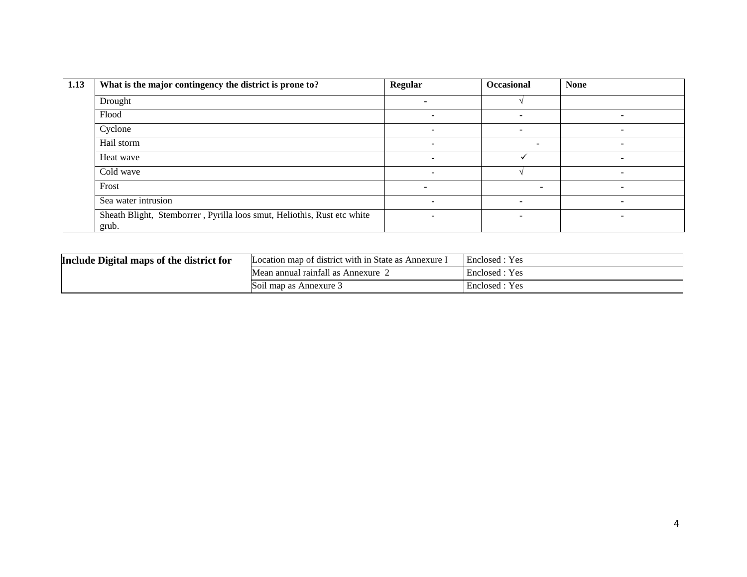| 1.13 | What is the major contingency the district is prone to?                          | Regular | <b>Occasional</b> | <b>None</b>              |
|------|----------------------------------------------------------------------------------|---------|-------------------|--------------------------|
|      | Drought                                                                          |         |                   |                          |
|      | Flood                                                                            |         |                   |                          |
|      | Cyclone                                                                          |         | -                 |                          |
|      | Hail storm                                                                       |         |                   |                          |
|      | Heat wave                                                                        | -       |                   |                          |
|      | Cold wave                                                                        | -       |                   | ۰                        |
|      | Frost                                                                            |         |                   | $\overline{\phantom{0}}$ |
|      | Sea water intrusion                                                              | ۰       | -                 | ۰                        |
|      | Sheath Blight, Stemborrer, Pyrilla loos smut, Heliothis, Rust etc white<br>grub. |         | -                 |                          |

| Include Digital maps of the district for | Location map of district with in State as Annexure I | Enclosed : Yes |
|------------------------------------------|------------------------------------------------------|----------------|
|                                          | Mean annual rainfall as Annexure                     | Enclosed: Yes  |
|                                          | <b>Soil map as Annexure</b> 3                        | Enclosed: Yes  |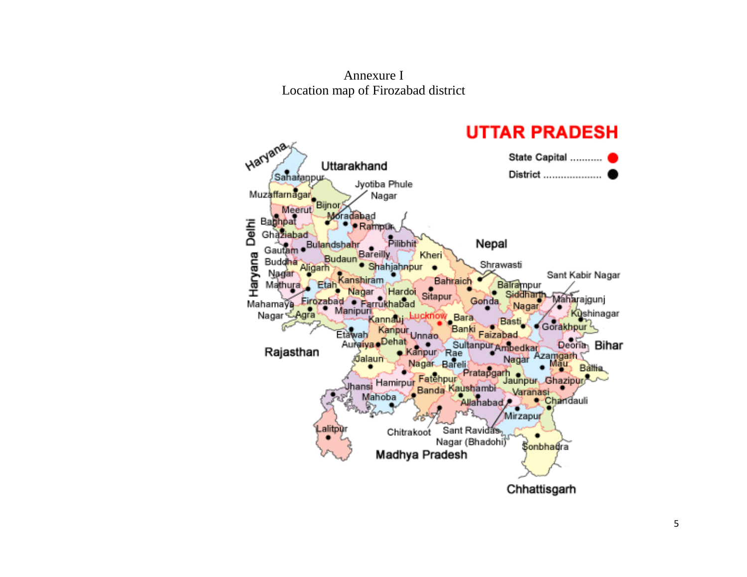# Annexure I Location map of Firozabad district

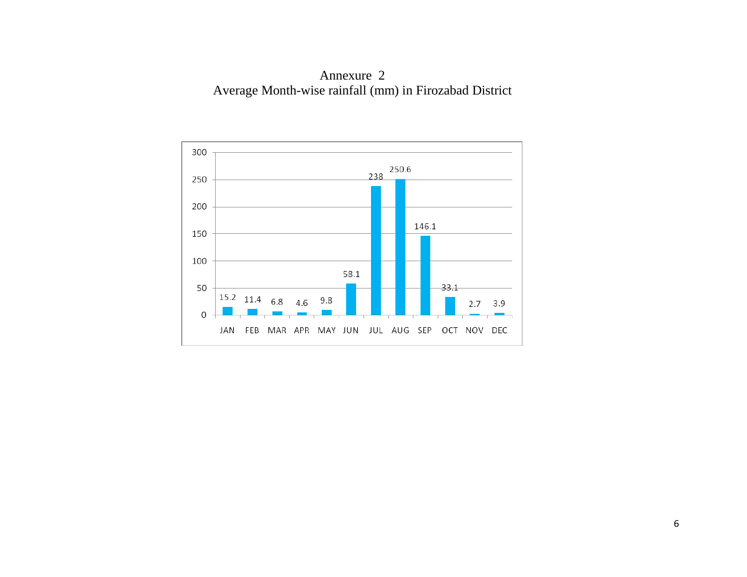Annexure 2 Average Month-wise rainfall (mm) in Firozabad District

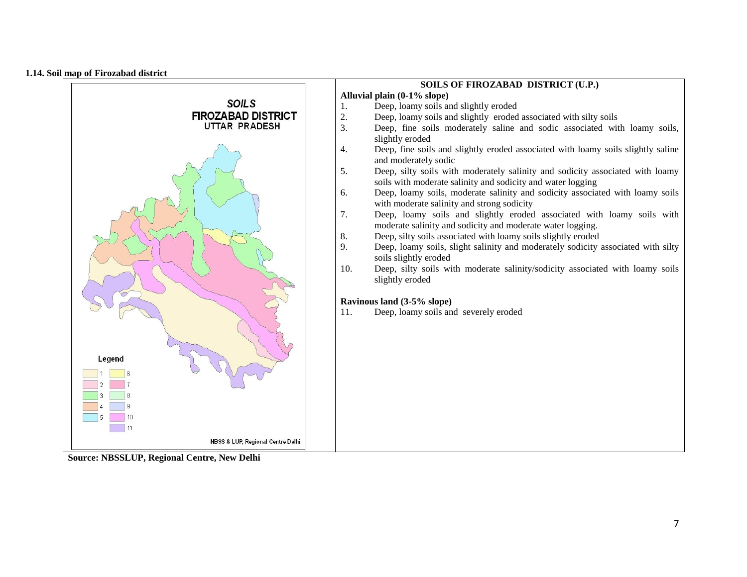#### **1.14. Soil map of Firozabad district**

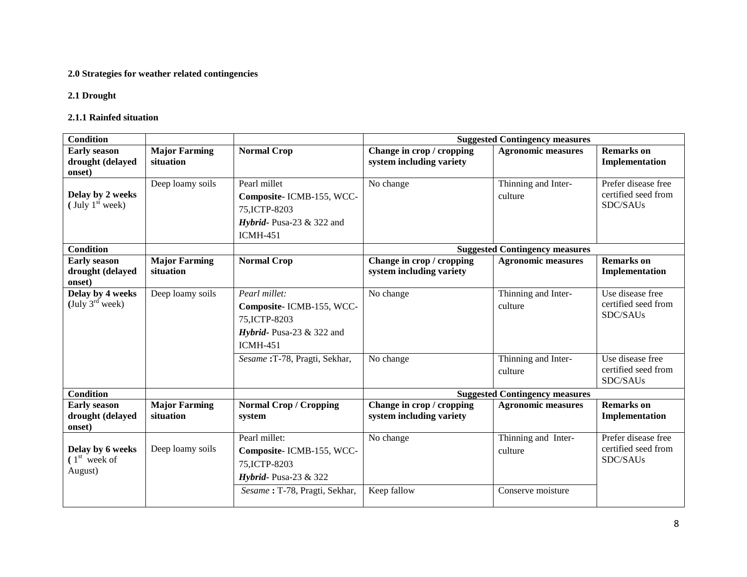# **2.0 Strategies for weather related contingencies**

# **2.1 Drought**

#### **2.1.1 Rainfed situation**

| <b>Condition</b>                                  |                                   |                                                                                                                        |                                                       | <b>Suggested Contingency measures</b>               |                                                        |
|---------------------------------------------------|-----------------------------------|------------------------------------------------------------------------------------------------------------------------|-------------------------------------------------------|-----------------------------------------------------|--------------------------------------------------------|
| <b>Early season</b><br>drought (delayed<br>onset) | <b>Major Farming</b><br>situation | <b>Normal Crop</b>                                                                                                     | Change in crop / cropping<br>system including variety | <b>Agronomic measures</b>                           | <b>Remarks</b> on<br>Implementation                    |
| Delay by 2 weeks<br>(July $1st$ week)             | Deep loamy soils                  | Pearl millet<br>Composite-ICMB-155, WCC-<br>75, ICTP-8203<br>Hybrid-Pusa-23 $&$ 322 and<br><b>ICMH-451</b>             | No change                                             | Thinning and Inter-<br>culture                      | Prefer disease free<br>certified seed from<br>SDC/SAUs |
| <b>Condition</b>                                  |                                   |                                                                                                                        |                                                       | <b>Suggested Contingency measures</b>               |                                                        |
| <b>Early season</b><br>drought (delayed<br>onset) | <b>Major Farming</b><br>situation | <b>Normal Crop</b>                                                                                                     | Change in crop / cropping<br>system including variety | <b>Agronomic measures</b>                           | <b>Remarks</b> on<br><b>Implementation</b>             |
| Delay by 4 weeks<br>(July $3^{rd}$ week)          | Deep loamy soils                  | Pearl millet:<br>Composite-ICMB-155, WCC-<br>75, ICTP-8203<br>Hybrid-Pusa-23 $&$ 322 and<br><b>ICMH-451</b>            | No change                                             | Thinning and Inter-<br>culture                      | Use disease free<br>certified seed from<br>SDC/SAUs    |
|                                                   |                                   | Sesame: T-78, Pragti, Sekhar,                                                                                          | No change                                             | Thinning and Inter-<br>culture                      | Use disease free<br>certified seed from<br>SDC/SAUs    |
| <b>Condition</b>                                  |                                   |                                                                                                                        |                                                       | <b>Suggested Contingency measures</b>               |                                                        |
| <b>Early season</b><br>drought (delayed<br>onset) | <b>Major Farming</b><br>situation | <b>Normal Crop / Cropping</b><br>system                                                                                | Change in crop / cropping<br>system including variety | <b>Agronomic measures</b>                           | <b>Remarks</b> on<br>Implementation                    |
| Delay by 6 weeks<br>$(1st$ week of<br>August)     | Deep loamy soils                  | Pearl millet:<br>Composite- ICMB-155, WCC-<br>75, ICTP-8203<br>Hybrid-Pusa-23 $&$ 322<br>Sesame: T-78, Pragti, Sekhar, | No change<br>Keep fallow                              | Thinning and Inter-<br>culture<br>Conserve moisture | Prefer disease free<br>certified seed from<br>SDC/SAUs |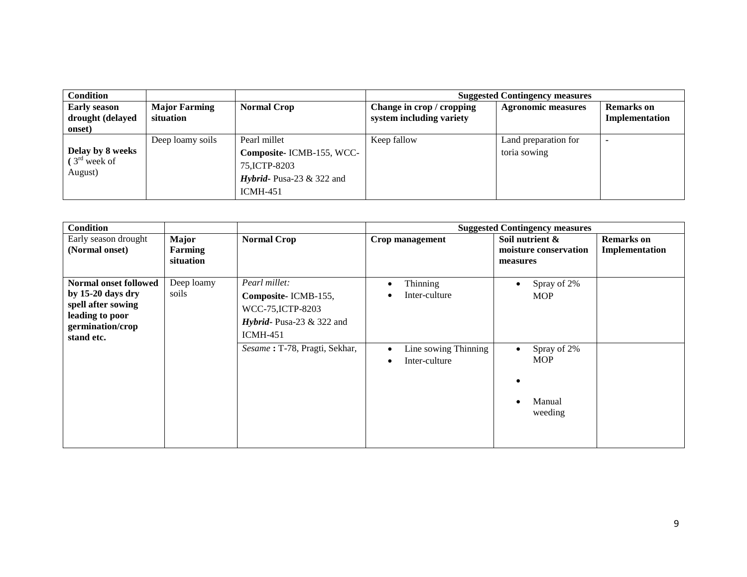| <b>Condition</b>                                  |                                   |                                                                                                               |                                                       | <b>Suggested Contingency measures</b> |                              |
|---------------------------------------------------|-----------------------------------|---------------------------------------------------------------------------------------------------------------|-------------------------------------------------------|---------------------------------------|------------------------------|
| <b>Early season</b><br>drought (delayed<br>onset) | <b>Major Farming</b><br>situation | <b>Normal Crop</b>                                                                                            | Change in crop / cropping<br>system including variety | <b>Agronomic measures</b>             | Remarks on<br>Implementation |
| Delay by 8 weeks<br>$(3rd$ week of<br>August)     | Deep loamy soils                  | Pearl millet<br>Composite-ICMB-155, WCC-<br>75, ICTP-8203<br><i>Hybrid</i> -Pusa-23 $&$ 322 and<br>$ICMH-451$ | Keep fallow                                           | Land preparation for<br>toria sowing  |                              |

| <b>Condition</b>                                                                                                      |                               |                                                                                                                                             |                                                                                              | <b>Suggested Contingency measures</b>                                                    |                                     |
|-----------------------------------------------------------------------------------------------------------------------|-------------------------------|---------------------------------------------------------------------------------------------------------------------------------------------|----------------------------------------------------------------------------------------------|------------------------------------------------------------------------------------------|-------------------------------------|
| Early season drought<br>(Normal onset)                                                                                | Major<br>Farming<br>situation | <b>Normal Crop</b>                                                                                                                          | Crop management                                                                              | Soil nutrient &<br>moisture conservation<br>measures                                     | <b>Remarks</b> on<br>Implementation |
| Normal onset followed<br>by 15-20 days dry<br>spell after sowing<br>leading to poor<br>germination/crop<br>stand etc. | Deep loamy<br>soils           | Pearl millet:<br>Composite-ICMB-155,<br>WCC-75, ICTP-8203<br>Hybrid-Pusa-23 $&$ 322 and<br><b>ICMH-451</b><br>Sesame: T-78, Pragti, Sekhar, | Thinning<br>Inter-culture<br>Line sowing Thinning<br>$\bullet$<br>Inter-culture<br>$\bullet$ | Spray of 2%<br><b>MOP</b><br>Spray of 2%<br>$\bullet$<br><b>MOP</b><br>Manual<br>weeding |                                     |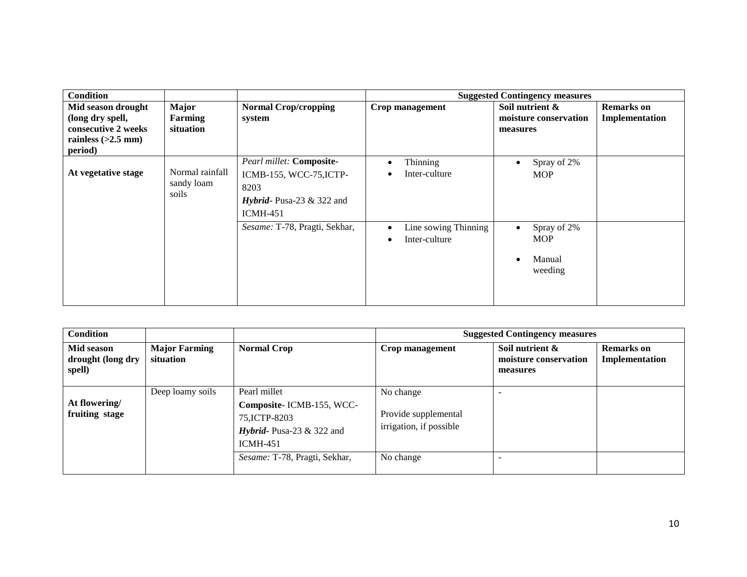| <b>Condition</b>                |                 |                                    |                                   | <b>Suggested Contingency measures</b> |                   |
|---------------------------------|-----------------|------------------------------------|-----------------------------------|---------------------------------------|-------------------|
| Mid season drought              | <b>Major</b>    | <b>Normal Crop/cropping</b>        | Crop management                   | Soil nutrient &                       | <b>Remarks</b> on |
| (long dry spell,                | Farming         | system                             |                                   | moisture conservation                 | Implementation    |
| consecutive 2 weeks             | situation       |                                    |                                   | measures                              |                   |
| rainless $(>2.5$ mm)<br>period) |                 |                                    |                                   |                                       |                   |
|                                 |                 | Pearl millet: Composite-           | Thinning<br>٠                     | Spray of 2%                           |                   |
| At vegetative stage             | Normal rainfall | ICMB-155, WCC-75, ICTP-            | Inter-culture<br>$\bullet$        | <b>MOP</b>                            |                   |
|                                 | sandy loam      | 8203                               |                                   |                                       |                   |
|                                 | soils           | <i>Hybrid</i> -Pusa-23 $&$ 322 and |                                   |                                       |                   |
|                                 |                 | $ICMH-451$                         |                                   |                                       |                   |
|                                 |                 | Sesame: T-78, Pragti, Sekhar,      | Line sowing Thinning<br>$\bullet$ | Spray of 2%<br>$\bullet$              |                   |
|                                 |                 |                                    | Inter-culture<br>$\bullet$        | <b>MOP</b>                            |                   |
|                                 |                 |                                    |                                   | Manual                                |                   |
|                                 |                 |                                    |                                   | weeding                               |                   |
|                                 |                 |                                    |                                   |                                       |                   |
|                                 |                 |                                    |                                   |                                       |                   |
|                                 |                 |                                    |                                   |                                       |                   |

| <b>Condition</b>                          |                                   |                                                                                                                    | <b>Suggested Contingency measures</b>                        |                                                      |                                     |  |
|-------------------------------------------|-----------------------------------|--------------------------------------------------------------------------------------------------------------------|--------------------------------------------------------------|------------------------------------------------------|-------------------------------------|--|
| Mid season<br>drought (long dry<br>spell) | <b>Major Farming</b><br>situation | <b>Normal Crop</b>                                                                                                 | Crop management                                              | Soil nutrient &<br>moisture conservation<br>measures | <b>Remarks</b> on<br>Implementation |  |
| At flowering/<br>fruiting stage           | Deep loamy soils                  | Pearl millet<br>Composite-ICMB-155, WCC-<br>75, ICTP-8203<br><i>Hybrid</i> -Pusa-23 $&$ 322 and<br><b>ICMH-451</b> | No change<br>Provide supplemental<br>irrigation, if possible |                                                      |                                     |  |
|                                           |                                   | Sesame: T-78, Pragti, Sekhar,                                                                                      | No change                                                    |                                                      |                                     |  |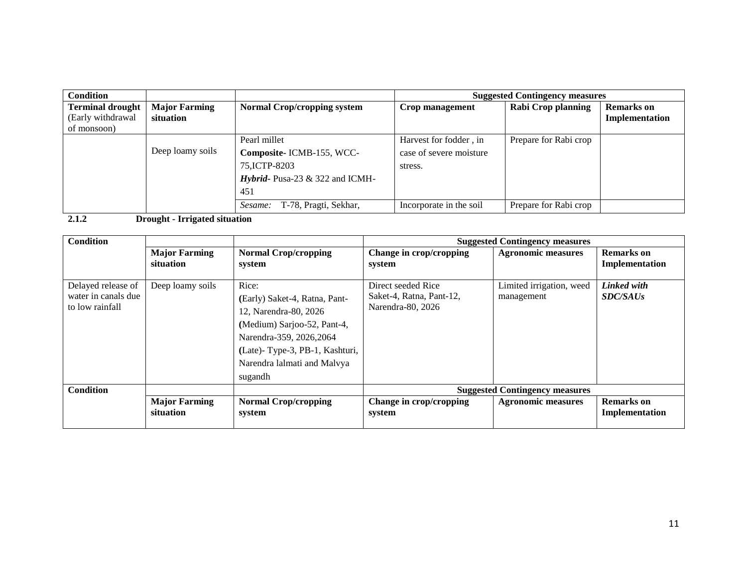| <b>Condition</b>                                            |                                   |                                                                                                                |                                                              | <b>Suggested Contingency measures</b> |                                     |
|-------------------------------------------------------------|-----------------------------------|----------------------------------------------------------------------------------------------------------------|--------------------------------------------------------------|---------------------------------------|-------------------------------------|
| <b>Terminal drought</b><br>(Early withdrawal<br>of monsoon) | <b>Major Farming</b><br>situation | <b>Normal Crop/cropping system</b>                                                                             | Crop management                                              | Rabi Crop planning                    | <b>Remarks</b> on<br>Implementation |
|                                                             | Deep loamy soils                  | Pearl millet<br>Composite-ICMB-155, WCC-<br>75, ICTP-8203<br><i>Hybrid</i> - Pusa-23 $\&$ 322 and ICMH-<br>451 | Harvest for fodder, in<br>case of severe moisture<br>stress. | Prepare for Rabi crop                 |                                     |
|                                                             |                                   | T-78, Pragti, Sekhar,<br>Sesame:                                                                               | Incorporate in the soil                                      | Prepare for Rabi crop                 |                                     |

**2.1.2 Drought - Irrigated situation**

| <b>Condition</b>                                             |                                   |                                                                                                                                                                                                        |                                                                     | <b>Suggested Contingency measures</b>  |                                     |
|--------------------------------------------------------------|-----------------------------------|--------------------------------------------------------------------------------------------------------------------------------------------------------------------------------------------------------|---------------------------------------------------------------------|----------------------------------------|-------------------------------------|
|                                                              | <b>Major Farming</b>              | <b>Normal Crop/cropping</b>                                                                                                                                                                            | Change in crop/cropping                                             | <b>Agronomic measures</b>              | <b>Remarks</b> on                   |
|                                                              | situation                         | system                                                                                                                                                                                                 | system                                                              |                                        | Implementation                      |
| Delayed release of<br>water in canals due<br>to low rainfall | Deep loamy soils                  | Rice:<br>(Early) Saket-4, Ratna, Pant-<br>12, Narendra-80, 2026<br>(Medium) Sarjoo-52, Pant-4,<br>Narendra-359, 2026, 2064<br>(Late)-Type-3, PB-1, Kashturi,<br>Narendra lalmati and Malvya<br>sugandh | Direct seeded Rice<br>Saket-4, Ratna, Pant-12,<br>Narendra-80, 2026 | Limited irrigation, weed<br>management | Linked with<br><b>SDC/SAUs</b>      |
| <b>Condition</b>                                             |                                   |                                                                                                                                                                                                        |                                                                     | <b>Suggested Contingency measures</b>  |                                     |
|                                                              | <b>Major Farming</b><br>situation | <b>Normal Crop/cropping</b><br>system                                                                                                                                                                  | Change in crop/cropping<br>system                                   | <b>Agronomic measures</b>              | <b>Remarks</b> on<br>Implementation |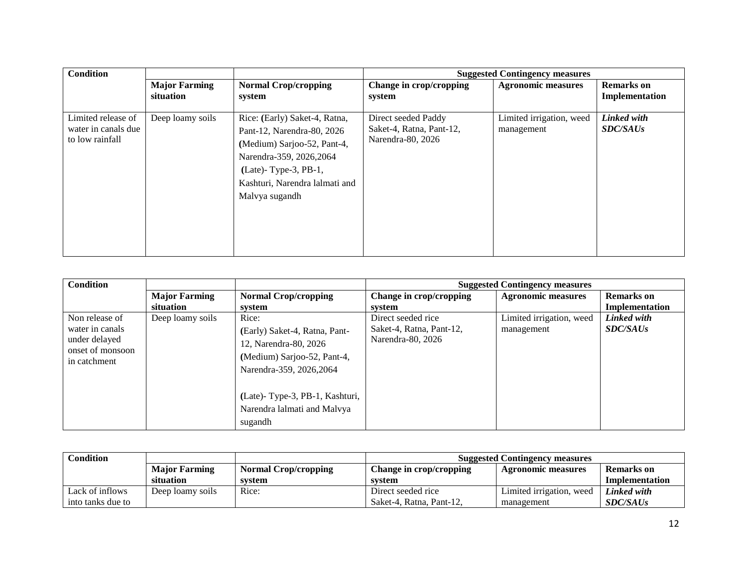| <b>Condition</b>                                             |                                   |                                                                                                                                                                                                        |                                                                      | <b>Suggested Contingency measures</b>  |                                     |
|--------------------------------------------------------------|-----------------------------------|--------------------------------------------------------------------------------------------------------------------------------------------------------------------------------------------------------|----------------------------------------------------------------------|----------------------------------------|-------------------------------------|
|                                                              | <b>Major Farming</b><br>situation | <b>Normal Crop/cropping</b><br>system                                                                                                                                                                  | Change in crop/cropping<br>system                                    | <b>Agronomic measures</b>              | <b>Remarks</b> on<br>Implementation |
| Limited release of<br>water in canals due<br>to low rainfall | Deep loamy soils                  | Rice: (Early) Saket-4, Ratna,<br>Pant-12, Narendra-80, 2026<br>(Medium) Sarjoo-52, Pant-4,<br>Narendra-359, 2026, 2064<br>$(Late)$ - Type-3, PB-1,<br>Kashturi, Narendra lalmati and<br>Malvya sugandh | Direct seeded Paddy<br>Saket-4, Ratna, Pant-12,<br>Narendra-80, 2026 | Limited irrigation, weed<br>management | Linked with<br><b>SDC/SAUs</b>      |

| <b>Condition</b>                                                                       |                      |                                                                                                                            |                                                                     | <b>Suggested Contingency measures</b>  |                                |
|----------------------------------------------------------------------------------------|----------------------|----------------------------------------------------------------------------------------------------------------------------|---------------------------------------------------------------------|----------------------------------------|--------------------------------|
|                                                                                        | <b>Major Farming</b> | <b>Normal Crop/cropping</b>                                                                                                | Change in crop/cropping                                             | <b>Agronomic measures</b>              | <b>Remarks</b> on              |
|                                                                                        | situation            | system                                                                                                                     | system                                                              |                                        | Implementation                 |
| Non release of<br>water in canals<br>under delayed<br>onset of monsoon<br>in catchment | Deep loamy soils     | Rice:<br>(Early) Saket-4, Ratna, Pant-<br>12, Narendra-80, 2026<br>(Medium) Sarjoo-52, Pant-4,<br>Narendra-359, 2026, 2064 | Direct seeded rice<br>Saket-4, Ratna, Pant-12,<br>Narendra-80, 2026 | Limited irrigation, weed<br>management | Linked with<br><b>SDC/SAUs</b> |
|                                                                                        |                      | (Late)-Type-3, PB-1, Kashturi,<br>Narendra lalmati and Malvya<br>sugandh                                                   |                                                                     |                                        |                                |

| <b>Condition</b>  |                      |                             | <b>Suggested Contingency measures</b> |                          |                   |  |
|-------------------|----------------------|-----------------------------|---------------------------------------|--------------------------|-------------------|--|
|                   | <b>Major Farming</b> | <b>Normal Crop/cropping</b> | Change in crop/cropping               | Agronomic measures       | <b>Remarks</b> on |  |
|                   | situation            | system                      | svstem                                |                          | Implementation    |  |
| Lack of inflows   | Deep loamy soils     | Rice:                       | Direct seeded rice                    | Limited irrigation, weed | Linked with       |  |
| into tanks due to |                      |                             | Saket-4, Ratna, Pant-12,              | management               | <i>SDC/SAUs</i>   |  |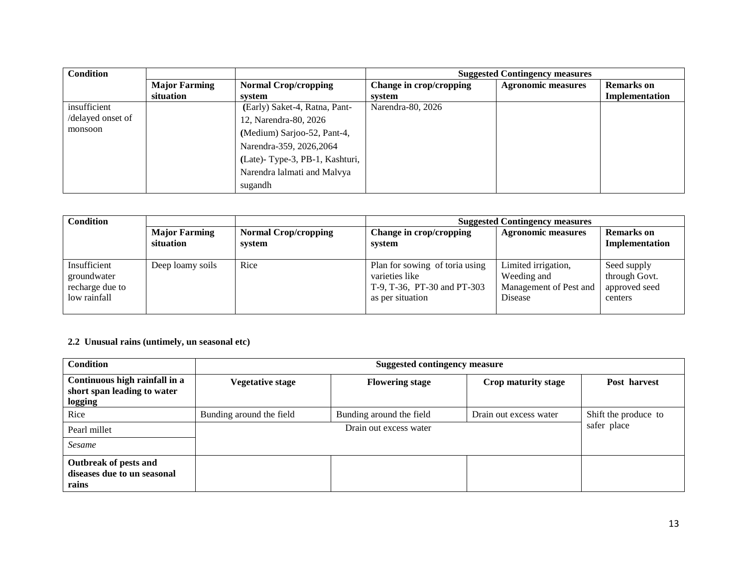| <b>Condition</b>  |                      |                                |                         | <b>Suggested Contingency measures</b> |                   |
|-------------------|----------------------|--------------------------------|-------------------------|---------------------------------------|-------------------|
|                   | <b>Major Farming</b> | <b>Normal Crop/cropping</b>    | Change in crop/cropping | <b>Agronomic measures</b>             | <b>Remarks</b> on |
|                   | situation            | system                         | svstem                  |                                       | Implementation    |
| insufficient      |                      | (Early) Saket-4, Ratna, Pant-  | Narendra-80, 2026       |                                       |                   |
| /delayed onset of |                      | 12, Narendra-80, 2026          |                         |                                       |                   |
| monsoon           |                      | (Medium) Sarjoo-52, Pant-4,    |                         |                                       |                   |
|                   |                      | Narendra-359, 2026, 2064       |                         |                                       |                   |
|                   |                      | (Late)-Type-3, PB-1, Kashturi, |                         |                                       |                   |
|                   |                      | Narendra lalmati and Malvya    |                         |                                       |                   |
|                   |                      | sugandh                        |                         |                                       |                   |

| <b>Condition</b>                                               |                                   |                                       | <b>Suggested Contingency measures</b>                                                               |                                                                         |                                                          |  |  |
|----------------------------------------------------------------|-----------------------------------|---------------------------------------|-----------------------------------------------------------------------------------------------------|-------------------------------------------------------------------------|----------------------------------------------------------|--|--|
|                                                                | <b>Major Farming</b><br>situation | <b>Normal Crop/cropping</b><br>system | Change in crop/cropping<br>system                                                                   | <b>Agronomic measures</b>                                               | <b>Remarks</b> on<br>Implementation                      |  |  |
| Insufficient<br>groundwater<br>recharge due to<br>low rainfall | Deep loamy soils                  | Rice                                  | Plan for sowing of toria using<br>varieties like<br>T-9, T-36, PT-30 and PT-303<br>as per situation | Limited irrigation,<br>Weeding and<br>Management of Pest and<br>Disease | Seed supply<br>through Govt.<br>approved seed<br>centers |  |  |

# **2.2 Unusual rains (untimely, un seasonal etc)**

| <b>Condition</b>                                                        |                          | <b>Suggested contingency measure</b> |                        |                      |  |  |
|-------------------------------------------------------------------------|--------------------------|--------------------------------------|------------------------|----------------------|--|--|
| Continuous high rainfall in a<br>short span leading to water<br>logging | Vegetative stage         | <b>Flowering stage</b>               | Crop maturity stage    | Post harvest         |  |  |
| Rice                                                                    | Bunding around the field | Bunding around the field             | Drain out excess water | Shift the produce to |  |  |
| Pearl millet                                                            |                          | safer place                          |                        |                      |  |  |
| Sesame                                                                  |                          |                                      |                        |                      |  |  |
| Outbreak of pests and<br>diseases due to un seasonal<br>rains           |                          |                                      |                        |                      |  |  |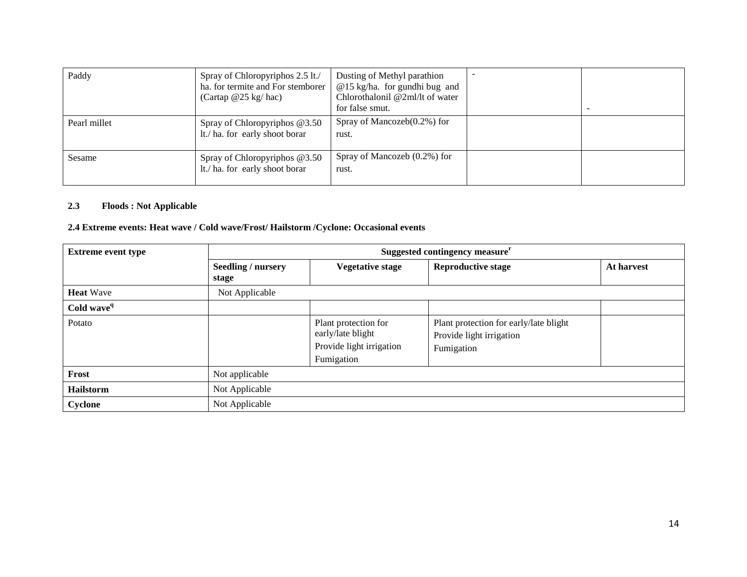| Paddy        | Spray of Chloropyriphos 2.5 lt./<br>ha. for termite and For stemborer<br>(Cartap $@25$ kg/hac) | Dusting of Methyl parathion<br>$@15$ kg/ha. for gundhi bug and<br>Chlorothalonil @2ml/lt of water<br>for false smut. |  |
|--------------|------------------------------------------------------------------------------------------------|----------------------------------------------------------------------------------------------------------------------|--|
| Pearl millet | Spray of Chloropyriphos $@3.50$<br>lt./ ha. for early shoot borar                              | Spray of Mancozeb $(0.2\%)$ for<br>rust.                                                                             |  |
| Sesame       | Spray of Chloropyriphos @3.50<br>lt./ ha. for early shoot borar                                | Spray of Mancozeb $(0.2\%)$ for<br>rust.                                                                             |  |

# **2.3 Floods : Not Applicable**

# **2.4 Extreme events: Heat wave / Cold wave/Frost/ Hailstorm /Cyclone: Occasional events**

| <b>Extreme event type</b> | Suggested contingency measure <sup>r</sup> |                                                                                     |                                                                                  |            |
|---------------------------|--------------------------------------------|-------------------------------------------------------------------------------------|----------------------------------------------------------------------------------|------------|
|                           | <b>Seedling / nursery</b><br>stage         | <b>Vegetative stage</b>                                                             | <b>Reproductive stage</b>                                                        | At harvest |
| <b>Heat Wave</b>          | Not Applicable                             |                                                                                     |                                                                                  |            |
| Cold wave <sup>q</sup>    |                                            |                                                                                     |                                                                                  |            |
| Potato                    |                                            | Plant protection for<br>early/late blight<br>Provide light irrigation<br>Fumigation | Plant protection for early/late blight<br>Provide light irrigation<br>Fumigation |            |
| Frost                     | Not applicable                             |                                                                                     |                                                                                  |            |
| <b>Hailstorm</b>          | Not Applicable                             |                                                                                     |                                                                                  |            |
| <b>Cyclone</b>            | Not Applicable                             |                                                                                     |                                                                                  |            |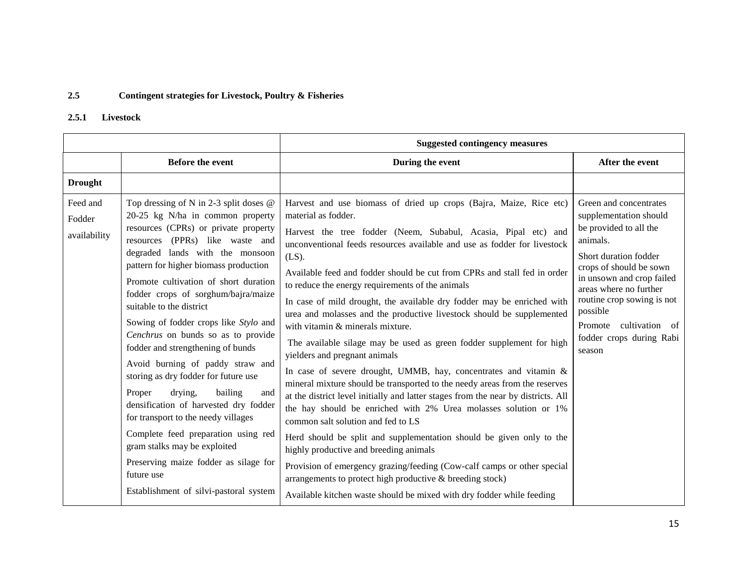# **2.5 Contingent strategies for Livestock, Poultry & Fisheries**

# **2.5.1 Livestock**

|                                    |                                                                                                                                                                                                                                                                                                                                                                                                                                                                                                                                                                                                                                                                                                                                                                                                                                                | <b>Suggested contingency measures</b>                                                                                                                                                                                                                                                                                                                                                                                                                                                                                                                                                                                                                                                                                                                                                                                                                                                                                                                                                                                                                                                                                                                                                                                                                                                                                                                                  |                                                                                                                                                                                                                                                                                                                |  |
|------------------------------------|------------------------------------------------------------------------------------------------------------------------------------------------------------------------------------------------------------------------------------------------------------------------------------------------------------------------------------------------------------------------------------------------------------------------------------------------------------------------------------------------------------------------------------------------------------------------------------------------------------------------------------------------------------------------------------------------------------------------------------------------------------------------------------------------------------------------------------------------|------------------------------------------------------------------------------------------------------------------------------------------------------------------------------------------------------------------------------------------------------------------------------------------------------------------------------------------------------------------------------------------------------------------------------------------------------------------------------------------------------------------------------------------------------------------------------------------------------------------------------------------------------------------------------------------------------------------------------------------------------------------------------------------------------------------------------------------------------------------------------------------------------------------------------------------------------------------------------------------------------------------------------------------------------------------------------------------------------------------------------------------------------------------------------------------------------------------------------------------------------------------------------------------------------------------------------------------------------------------------|----------------------------------------------------------------------------------------------------------------------------------------------------------------------------------------------------------------------------------------------------------------------------------------------------------------|--|
|                                    | <b>Before the event</b>                                                                                                                                                                                                                                                                                                                                                                                                                                                                                                                                                                                                                                                                                                                                                                                                                        | During the event                                                                                                                                                                                                                                                                                                                                                                                                                                                                                                                                                                                                                                                                                                                                                                                                                                                                                                                                                                                                                                                                                                                                                                                                                                                                                                                                                       | After the event                                                                                                                                                                                                                                                                                                |  |
| <b>Drought</b>                     |                                                                                                                                                                                                                                                                                                                                                                                                                                                                                                                                                                                                                                                                                                                                                                                                                                                |                                                                                                                                                                                                                                                                                                                                                                                                                                                                                                                                                                                                                                                                                                                                                                                                                                                                                                                                                                                                                                                                                                                                                                                                                                                                                                                                                                        |                                                                                                                                                                                                                                                                                                                |  |
| Feed and<br>Fodder<br>availability | Top dressing of N in 2-3 split doses $@$<br>20-25 kg N/ha in common property<br>resources (CPRs) or private property<br>resources (PPRs) like waste and<br>degraded lands with the monsoon<br>pattern for higher biomass production<br>Promote cultivation of short duration<br>fodder crops of sorghum/bajra/maize<br>suitable to the district<br>Sowing of fodder crops like Stylo and<br>Cenchrus on bunds so as to provide<br>fodder and strengthening of bunds<br>Avoid burning of paddy straw and<br>storing as dry fodder for future use<br>drying,<br>Proper<br>bailing<br>and<br>densification of harvested dry fodder<br>for transport to the needy villages<br>Complete feed preparation using red<br>gram stalks may be exploited<br>Preserving maize fodder as silage for<br>future use<br>Establishment of silvi-pastoral system | Harvest and use biomass of dried up crops (Bajra, Maize, Rice etc)<br>material as fodder.<br>Harvest the tree fodder (Neem, Subabul, Acasia, Pipal etc) and<br>unconventional feeds resources available and use as fodder for livestock<br>$(LS)$ .<br>Available feed and fodder should be cut from CPRs and stall fed in order<br>to reduce the energy requirements of the animals<br>In case of mild drought, the available dry fodder may be enriched with<br>urea and molasses and the productive livestock should be supplemented<br>with vitamin & minerals mixture.<br>The available silage may be used as green fodder supplement for high<br>yielders and pregnant animals<br>In case of severe drought, UMMB, hay, concentrates and vitamin &<br>mineral mixture should be transported to the needy areas from the reserves<br>at the district level initially and latter stages from the near by districts. All<br>the hay should be enriched with 2% Urea molasses solution or 1%<br>common salt solution and fed to LS<br>Herd should be split and supplementation should be given only to the<br>highly productive and breeding animals<br>Provision of emergency grazing/feeding (Cow-calf camps or other special<br>arrangements to protect high productive & breeding stock)<br>Available kitchen waste should be mixed with dry fodder while feeding | Green and concentrates<br>supplementation should<br>be provided to all the<br>animals.<br>Short duration fodder<br>crops of should be sown<br>in unsown and crop failed<br>areas where no further<br>routine crop sowing is not<br>possible<br>Promote<br>cultivation of<br>fodder crops during Rabi<br>season |  |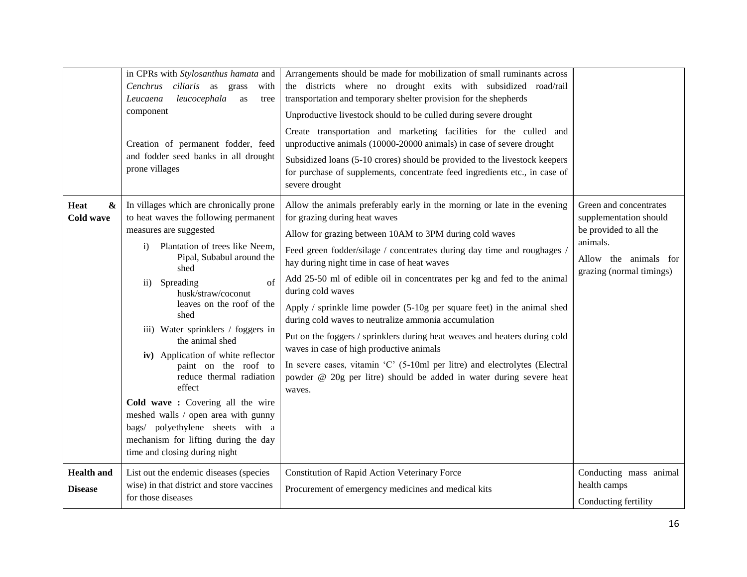|                                               | in CPRs with Stylosanthus hamata and<br>Cenchrus ciliaris as grass<br>with<br>leucocephala<br>Leucaena<br>as<br>tree<br>component<br>Creation of permanent fodder, feed<br>and fodder seed banks in all drought<br>prone villages                                                                                                                                                                                                                                                                                                                                                                                                                     | Arrangements should be made for mobilization of small ruminants across<br>the districts where no drought exits with subsidized road/rail<br>transportation and temporary shelter provision for the shepherds<br>Unproductive livestock should to be culled during severe drought<br>Create transportation and marketing facilities for the culled and<br>unproductive animals (10000-20000 animals) in case of severe drought<br>Subsidized loans (5-10 crores) should be provided to the livestock keepers<br>for purchase of supplements, concentrate feed ingredients etc., in case of<br>severe drought                                                                                                                                                                                                                |                                                                                                                                             |
|-----------------------------------------------|-------------------------------------------------------------------------------------------------------------------------------------------------------------------------------------------------------------------------------------------------------------------------------------------------------------------------------------------------------------------------------------------------------------------------------------------------------------------------------------------------------------------------------------------------------------------------------------------------------------------------------------------------------|----------------------------------------------------------------------------------------------------------------------------------------------------------------------------------------------------------------------------------------------------------------------------------------------------------------------------------------------------------------------------------------------------------------------------------------------------------------------------------------------------------------------------------------------------------------------------------------------------------------------------------------------------------------------------------------------------------------------------------------------------------------------------------------------------------------------------|---------------------------------------------------------------------------------------------------------------------------------------------|
| Heat<br>$\boldsymbol{\&}$<br><b>Cold wave</b> | In villages which are chronically prone<br>to heat waves the following permanent<br>measures are suggested<br>Plantation of trees like Neem,<br>$\mathbf{i}$<br>Pipal, Subabul around the<br>shed<br>of<br>Spreading<br>$\mathbf{ii}$<br>husk/straw/coconut<br>leaves on the roof of the<br>shed<br>iii) Water sprinklers / foggers in<br>the animal shed<br>iv) Application of white reflector<br>paint on the roof to<br>reduce thermal radiation<br>effect<br>Cold wave: Covering all the wire<br>meshed walls / open area with gunny<br>bags/ polyethylene sheets with a<br>mechanism for lifting during the day<br>time and closing during night | Allow the animals preferably early in the morning or late in the evening<br>for grazing during heat waves<br>Allow for grazing between 10AM to 3PM during cold waves<br>Feed green fodder/silage / concentrates during day time and roughages /<br>hay during night time in case of heat waves<br>Add 25-50 ml of edible oil in concentrates per kg and fed to the animal<br>during cold waves<br>Apply / sprinkle lime powder (5-10g per square feet) in the animal shed<br>during cold waves to neutralize ammonia accumulation<br>Put on the foggers / sprinklers during heat weaves and heaters during cold<br>waves in case of high productive animals<br>In severe cases, vitamin 'C' (5-10ml per litre) and electrolytes (Electral<br>powder @ 20g per litre) should be added in water during severe heat<br>waves. | Green and concentrates<br>supplementation should<br>be provided to all the<br>animals.<br>Allow the animals for<br>grazing (normal timings) |
| <b>Health</b> and<br><b>Disease</b>           | List out the endemic diseases (species<br>wise) in that district and store vaccines<br>for those diseases                                                                                                                                                                                                                                                                                                                                                                                                                                                                                                                                             | Constitution of Rapid Action Veterinary Force<br>Procurement of emergency medicines and medical kits                                                                                                                                                                                                                                                                                                                                                                                                                                                                                                                                                                                                                                                                                                                       | Conducting mass animal<br>health camps<br>Conducting fertility                                                                              |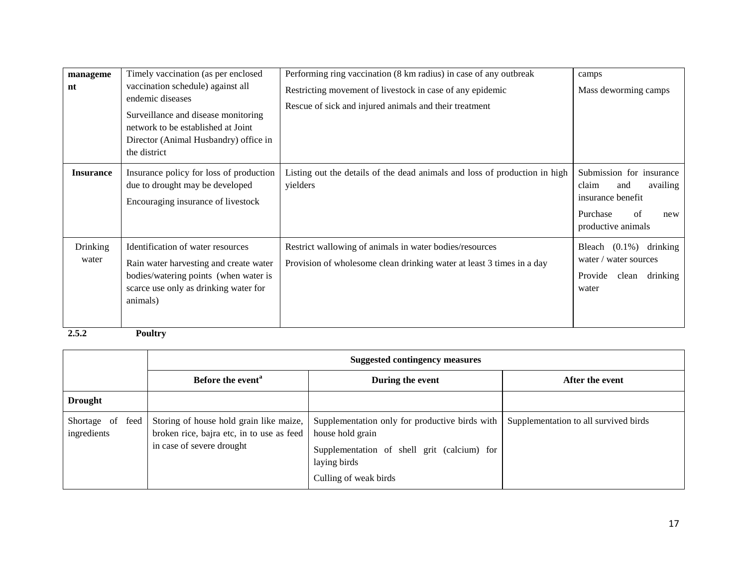| manageme<br>nt           | Timely vaccination (as per enclosed<br>vaccination schedule) against all<br>endemic diseases<br>Surveillance and disease monitoring<br>network to be established at Joint<br>Director (Animal Husbandry) office in<br>the district | Performing ring vaccination (8 km radius) in case of any outbreak<br>Restricting movement of livestock in case of any epidemic<br>Rescue of sick and injured animals and their treatment | camps<br>Mass deworming camps                                                                                            |
|--------------------------|------------------------------------------------------------------------------------------------------------------------------------------------------------------------------------------------------------------------------------|------------------------------------------------------------------------------------------------------------------------------------------------------------------------------------------|--------------------------------------------------------------------------------------------------------------------------|
| <b>Insurance</b>         | Insurance policy for loss of production<br>due to drought may be developed<br>Encouraging insurance of livestock                                                                                                                   | Listing out the details of the dead animals and loss of production in high<br>yielders                                                                                                   | Submission for insurance<br>claim<br>availing<br>and<br>insurance benefit<br>Purchase<br>of<br>new<br>productive animals |
| <b>Drinking</b><br>water | Identification of water resources<br>Rain water harvesting and create water<br>bodies/watering points (when water is<br>scarce use only as drinking water for<br>animals)                                                          | Restrict wallowing of animals in water bodies/resources<br>Provision of wholesome clean drinking water at least 3 times in a day                                                         | drinking<br>Bleach $(0.1\%)$<br>water / water sources<br>Provide<br>drinking<br>clean<br>water                           |

**2.5.2 Poultry** 

|                                 | <b>Suggested contingency measures</b>                                                                             |                                                                                                                                                            |                                       |
|---------------------------------|-------------------------------------------------------------------------------------------------------------------|------------------------------------------------------------------------------------------------------------------------------------------------------------|---------------------------------------|
|                                 | Before the event <sup>a</sup>                                                                                     | During the event                                                                                                                                           | After the event                       |
| <b>Drought</b>                  |                                                                                                                   |                                                                                                                                                            |                                       |
| Shortage of feed<br>ingredients | Storing of house hold grain like maize,<br>broken rice, bajra etc, in to use as feed<br>in case of severe drought | Supplementation only for productive birds with<br>house hold grain<br>Supplementation of shell grit (calcium) for<br>laying birds<br>Culling of weak birds | Supplementation to all survived birds |